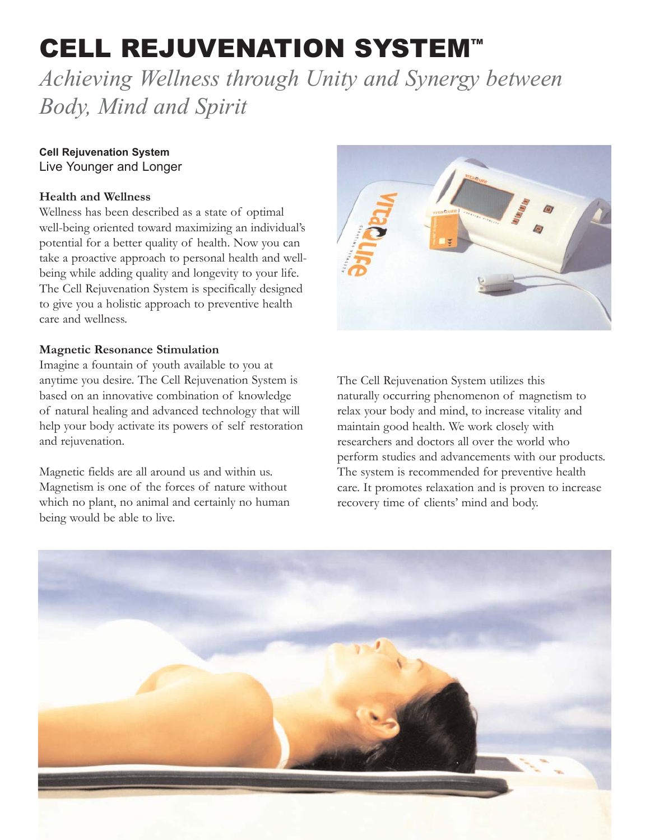# **CELL REJUVENATION SYSTEM™**

*Achieving Wellness through Unity and Synergy between Body, Mind and Spirit*

# **Cell Rejuvenation System** Live Younger and Longer

## **Health and Wellness**

Wellness has been described as a state of optimal well-being oriented toward maximizing an individual's potential for a better quality of health. Now you can take a proactive approach to personal health and wellbeing while adding quality and longevity to your life. The Cell Rejuvenation System is specifically designed to give you a holistic approach to preventive health care and wellness.

### **Magnetic Resonance Stimulation**

Imagine a fountain of youth available to you at anytime you desire. The Cell Rejuvenation System is based on an innovative combination of knowledge of natural healing and advanced technology that will help your body activate its powers of self restoration and rejuvenation.

Magnetic fields are all around us and within us. Magnetism is one of the forces of nature without which no plant, no animal and certainly no human being would be able to live.



The Cell Rejuvenation System utilizes this naturally occurring phenomenon of magnetism to relax your body and mind, to increase vitality and maintain good health. We work closely with researchers and doctors all over the world who perform studies and advancements with our products. The system is recommended for preventive health care. It promotes relaxation and is proven to increase recovery time of clients' mind and body.

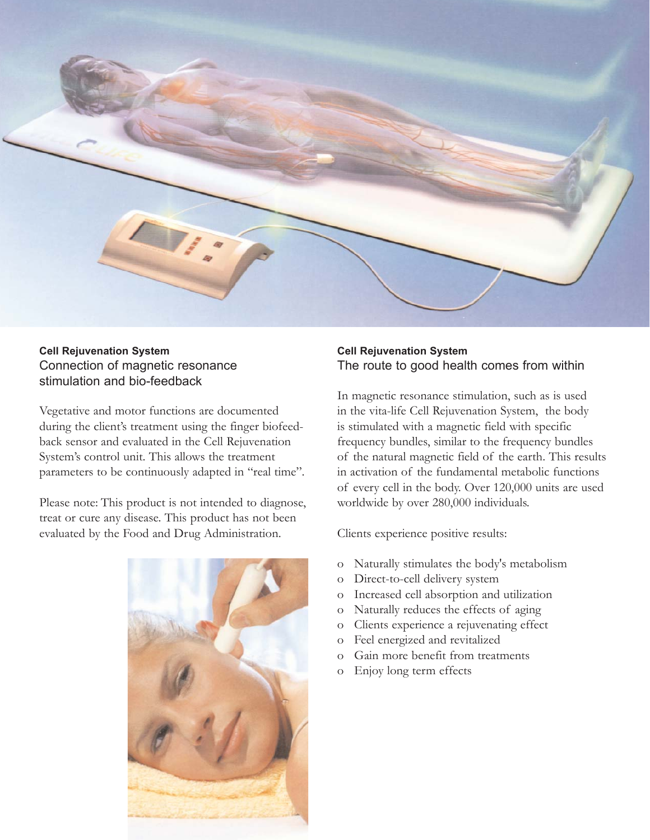

#### **Cell Rejuvenation System** Connection of magnetic resonance stimulation and bio-feedback

Vegetative and motor functions are documented during the client's treatment using the finger biofeedback sensor and evaluated in the Cell Rejuvenation System's control unit. This allows the treatment parameters to be continuously adapted in "real time".

Please note: This product is not intended to diagnose, treat or cure any disease. This product has not been evaluated by the Food and Drug Administration.



#### **Cell Rejuvenation System** The route to good health comes from within

In magnetic resonance stimulation, such as is used in the vita-life Cell Rejuvenation System, the body is stimulated with a magnetic field with specific frequency bundles, similar to the frequency bundles of the natural magnetic field of the earth. This results in activation of the fundamental metabolic functions of every cell in the body. Over 120,000 units are used worldwide by over 280,000 individuals.

Clients experience positive results:

- o Naturally stimulates the body's metabolism
- o Direct-to-cell delivery system
- o Increased cell absorption and utilization
- o Naturally reduces the effects of aging
- o Clients experience a rejuvenating effect
- o Feel energized and revitalized
- o Gain more benefit from treatments
- o Enjoy long term effects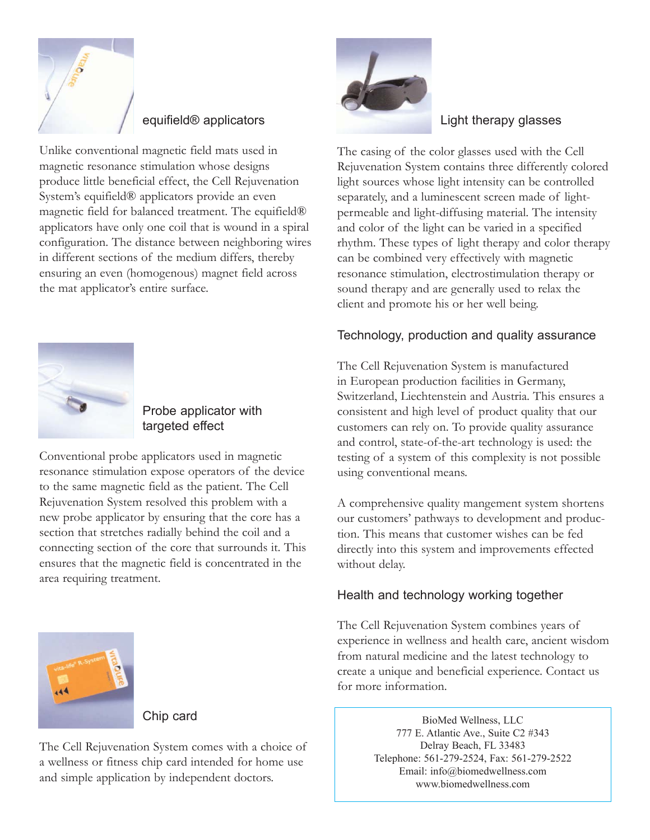

# equifield® applicators

Unlike conventional magnetic field mats used in magnetic resonance stimulation whose designs produce little beneficial effect, the Cell Rejuvenation System's equifield® applicators provide an even magnetic field for balanced treatment. The equifield® applicators have only one coil that is wound in a spiral configuration. The distance between neighboring wires in different sections of the medium differs, thereby ensuring an even (homogenous) magnet field across the mat applicator's entire surface.



# Probe applicator with targeted effect

Conventional probe applicators used in magnetic resonance stimulation expose operators of the device to the same magnetic field as the patient. The Cell Rejuvenation System resolved this problem with a new probe applicator by ensuring that the core has a section that stretches radially behind the coil and a connecting section of the core that surrounds it. This ensures that the magnetic field is concentrated in the area requiring treatment.



## Light therapy glasses

The casing of the color glasses used with the Cell Rejuvenation System contains three differently colored light sources whose light intensity can be controlled separately, and a luminescent screen made of lightpermeable and light-diffusing material. The intensity and color of the light can be varied in a specified rhythm. These types of light therapy and color therapy can be combined very effectively with magnetic resonance stimulation, electrostimulation therapy or sound therapy and are generally used to relax the client and promote his or her well being.

# Technology, production and quality assurance

The Cell Rejuvenation System is manufactured in European production facilities in Germany, Switzerland, Liechtenstein and Austria. This ensures a consistent and high level of product quality that our customers can rely on. To provide quality assurance and control, state-of-the-art technology is used: the testing of a system of this complexity is not possible using conventional means.

A comprehensive quality mangement system shortens our customers' pathways to development and production. This means that customer wishes can be fed directly into this system and improvements effected without delay.

# Health and technology working together

The Cell Rejuvenation System combines years of experience in wellness and health care, ancient wisdom from natural medicine and the latest technology to create a unique and beneficial experience. Contact us for more information.

> BioMed Wellness, LLC 777 E. Atlantic Ave., Suite C2 #343 Delray Beach, FL 33483 Telephone: 561-279-2524, Fax: 561-279-2522 Email: info@biomedwellness.com www.biomedwellness.com



### Chip card

The Cell Rejuvenation System comes with a choice of a wellness or fitness chip card intended for home use and simple application by independent doctors.